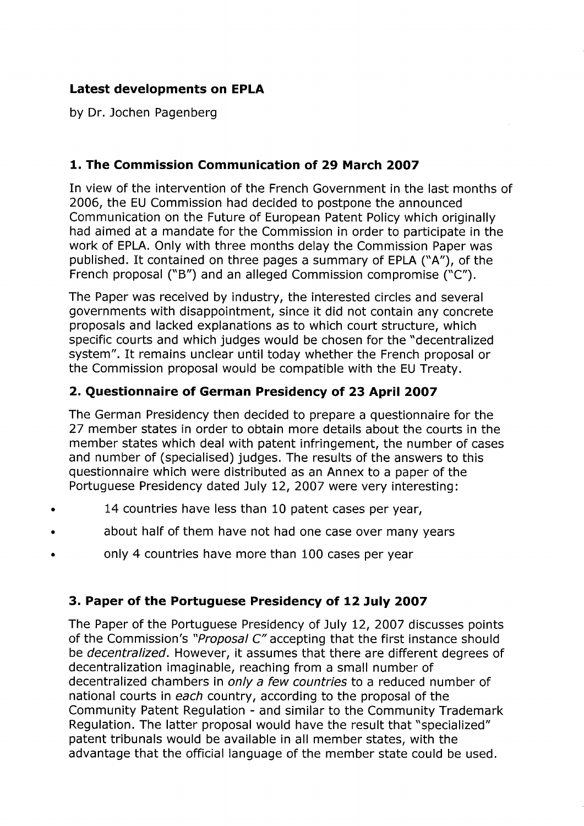# Latest developments on EPLA

by Dr. Jochen Pagenberg

## 1. The Commission Communication of 29 March 2007

In view of the intervention of the French Government in the last months of 2006, the EU Commission had decided to postpone the announced Communication on the Future of European Patent Policy which originally had aimed at a mandate for the Commission in order to participate in the work of EPLA. Only with three months delay the Commission Paper was published. It contained on three pages a summary of EPLA ("A"), of the French proposal ("B") and an alleged Commission compromise ("C").

The Paper was received by industry, the interested circles and several governments with disappointment, since it did not contain any concrete proposals and lacked explanations as to which court structure, which specific courts and which judges would be chosen for the "decentralized system". It remains unclear until today whether the French proposal or the Commission proposal would be compatible with the EU Treaty.

### 2. Questionnaire of German Presidency of 23 April 2007

The German Presidency then decided to prepare a questionnaire for the 27 member states in order to obtain more details about the courts in the member states which deal with patent infringement, the number of cases and number of (specialised) judges. The results of the answers to this questionnaire which were distributed as an Annex to a paper of the Portuguese Presidency dated July 12, 2007 were very interesting:

- 14 countries have less than 10 patent cases per year,
- about half of them have not had one case over many years
- · only 4 countries have more than 100 cases per year

#### 3. Paper of the Portuguese Presidency of 12 July 2007

The Paper of the Portuguese Presidency of July 12, 2007 discusses points of the Commission's "Proposal C" accepting that the first instance should be decentralized. However, it assumes that there are different degrees of decentralization imaginable, reaching from a small number of decentralized chambers in only a few countries to a reduced number of national courts in each country, according to the proposal of the Community Patent Regulation - and similar to the Community Trademark Regulation. The latter proposal would have the result that "specialized" patent tribunals would be available in all member states, with the advantage that the official language of the member state could be used.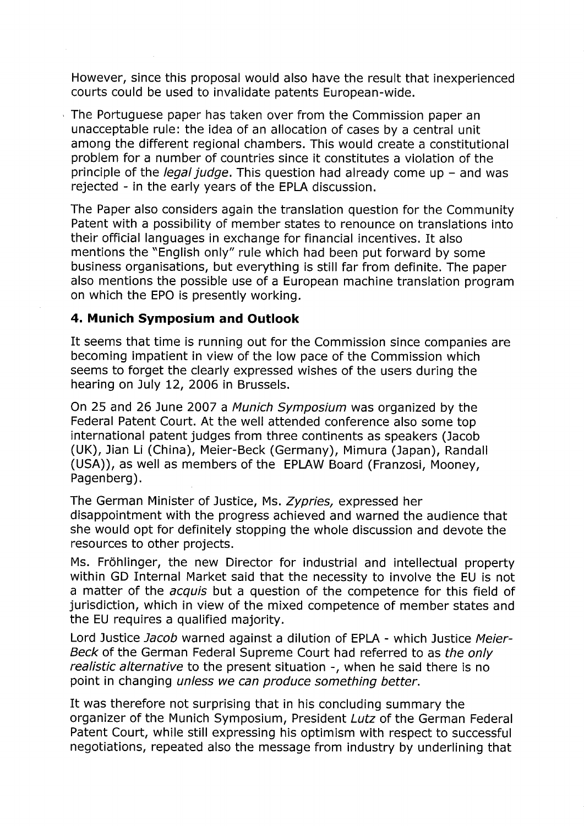However, since this proposal would also have the result that inexperienced courts could be used to invalidate patents European-wide.

, The Portuguese paper has taken over from the Commission paper an unacceptable rule: the idea of an allocation of cases by a central unit among the different regional chambers. This would create a constitutional problem for a number of countries since it constitutes a violation of the principle of the *legal judge*. This question had already come up  $-$  and was rejected - in the early years of the EPLA discussion.

The Paper also considers again the translation question for the Community Patent with a possibility of member states to renounce on translations into their official languages in exchange for financial incentives. It also mentions the "English only" rule which had been put forward by some business organisations, but everything is still far from definite. The paper also mentions the possible use of a European machine translation program on which the EPO is presently working.

#### 4. Munich Symposium and Outlook

It seems that time is running out for the Commission since companies are becoming impatient in view of the low pace of the Commission which seems to forget the clearly expressed wishes of the users during the hearing on July 12, 2006 in Brussels.

On 25 and 26 June 2007 a Munich Symposium was organized by the Federal Patent Court. At the well attended conference also some top international patent judges from three continents as speakers (Jacob (UK), Jian Li (China), Meier-Beck (Germany), Mimura (Japan), Randall (USA)), as well as members of the EPLAW Board (Franzosi, Mooney, Pagenberg).

The German Minister of Justice, Ms. Zypries, expressed her disappointment with the progress achieved and warned the audience that she would opt for definitely stopping the whole discussion and devote the resources to other projects.

Ms. Fröhlinger, the new Director for industrial and intellectual property within GO Internal Market said that the necessity to involve the EU is not a matter of the *acquis* but a question of the competence for this field of jurisdiction, which in view of the mixed competence of member states and the EU requires a qualified majority.

Lord Justice *Jacob* warned against a dilution of EPLA - which Justice Meier-Beck of the German Federal Supreme Court had referred to as the only realistic alternative to the present situation -, when he said there is no point in changing unless we can produce something better.

It was therefore not surprising that in his concluding summary the organizer of the Munich Symposium, President Lutz of the German Federal Patent Court, while still expressing his optimism with respect to successful negotiations, repeated also the message from industry by underlining that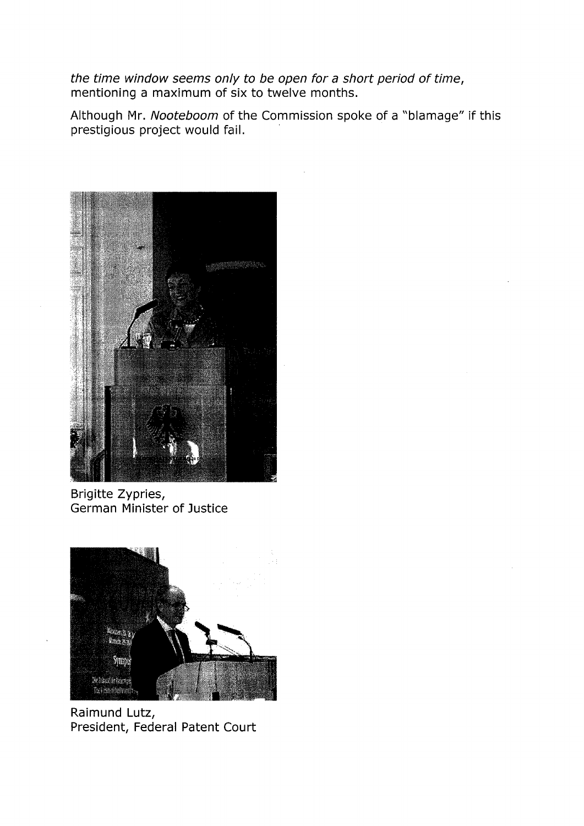the time window seems only to be open for a short period of time, mentioning a maximum of six to twelve months.

Although Mr. Nooteboom of the Commission spoke of a "blamage" if this prestigious project would fail.



Brigitte Zypries, German Minister of Justice



Raimund Lutz, President, Federal Patent Court